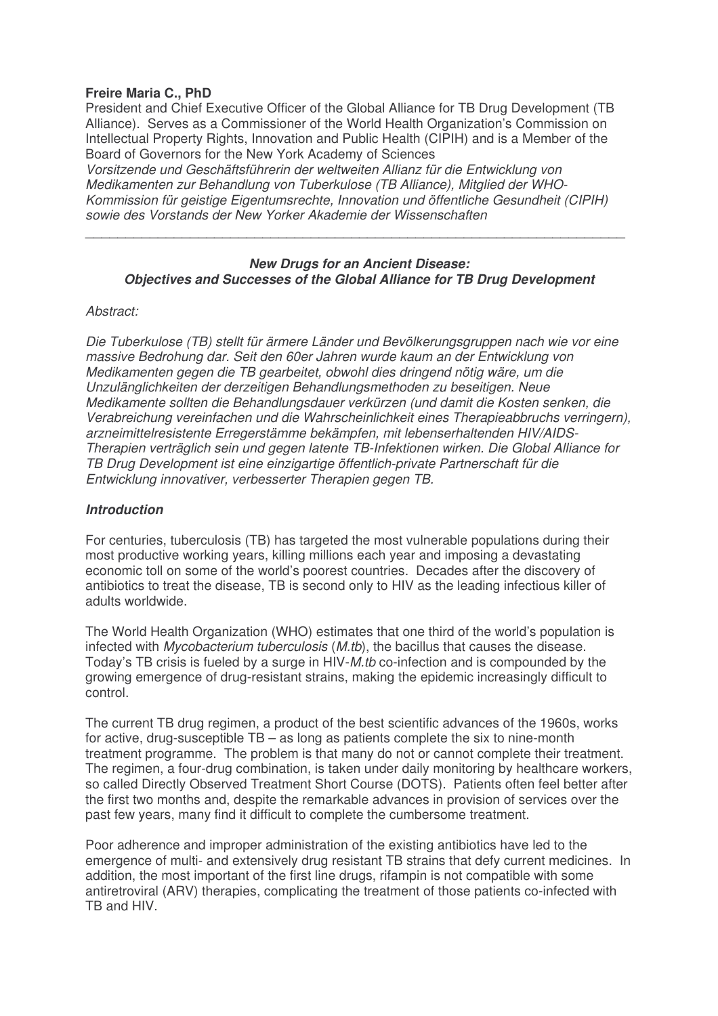# **Freire Maria C., PhD**

President and Chief Executive Officer of the Global Alliance for TB Drug Development (TB Alliance). Serves as a Commissioner of the World Health Organization's Commission on Intellectual Property Rights, Innovation and Public Health (CIPIH) and is a Member of the Board of Governors for the New York Academy of Sciences

*Vorsitzende und Geschäftsführerin der weltweiten Allianz für die Entwicklung von Medikamenten zur Behandlung von Tuberkulose (TB Alliance), Mitglied der WHO-Kommission für geistige Eigentumsrechte, Innovation und öffentliche Gesundheit (CIPIH) sowie des Vorstands der New Yorker Akademie der Wissenschaften*

### *New Drugs for an Ancient Disease: Objectives and Successes of the Global Alliance for TB Drug Development*

 $\overline{a_1}$  ,  $\overline{a_2}$  ,  $\overline{a_3}$  ,  $\overline{a_4}$  ,  $\overline{a_5}$  ,  $\overline{a_6}$  ,  $\overline{a_7}$  ,  $\overline{a_8}$  ,  $\overline{a_9}$  ,  $\overline{a_9}$  ,  $\overline{a_9}$  ,  $\overline{a_9}$  ,  $\overline{a_9}$  ,  $\overline{a_9}$  ,  $\overline{a_9}$  ,  $\overline{a_9}$  ,  $\overline{a_9}$  ,

# *Abstract:*

*Die Tuberkulose (TB) stellt für ärmere Länder und Bevölkerungsgruppen nach wie vor eine massive Bedrohung dar. Seit den 60er Jahren wurde kaum an der Entwicklung von Medikamenten gegen die TB gearbeitet, obwohl dies dringend nötig wäre, um die Unzulänglichkeiten der derzeitigen Behandlungsmethoden zu beseitigen. Neue Medikamente sollten die Behandlungsdauer verkürzen (und damit die Kosten senken, die Verabreichung vereinfachen und die Wahrscheinlichkeit eines Therapieabbruchs verringern), arzneimittelresistente Erregerstämme bekämpfen, mit lebenserhaltenden HIV/AIDS-Therapien verträglich sein und gegen latente TB-Infektionen wirken. Die Global Alliance for TB Drug Development ist eine einzigartige öffentlich-private Partnerschaft für die Entwicklung innovativer, verbesserter Therapien gegen TB.*

### *Introduction*

For centuries, tuberculosis (TB) has targeted the most vulnerable populations during their most productive working years, killing millions each year and imposing a devastating economic toll on some of the world's poorest countries. Decades after the discovery of antibiotics to treat the disease, TB is second only to HIV as the leading infectious killer of adults worldwide.

The World Health Organization (WHO) estimates that one third of the world's population is infected with *Mycobacterium tuberculosis* (*M.tb*), the bacillus that causes the disease. Today's TB crisis is fueled by a surge in HIV-*M.tb* co-infection and is compounded by the growing emergence of drug-resistant strains, making the epidemic increasingly difficult to control.

The current TB drug regimen, a product of the best scientific advances of the 1960s, works for active, drug-susceptible TB – as long as patients complete the six to nine-month treatment programme. The problem is that many do not or cannot complete their treatment. The regimen, a four-drug combination, is taken under daily monitoring by healthcare workers, so called Directly Observed Treatment Short Course (DOTS). Patients often feel better after the first two months and, despite the remarkable advances in provision of services over the past few years, many find it difficult to complete the cumbersome treatment.

Poor adherence and improper administration of the existing antibiotics have led to the emergence of multi- and extensively drug resistant TB strains that defy current medicines. In addition, the most important of the first line drugs, rifampin is not compatible with some antiretroviral (ARV) therapies, complicating the treatment of those patients co-infected with TB and HIV.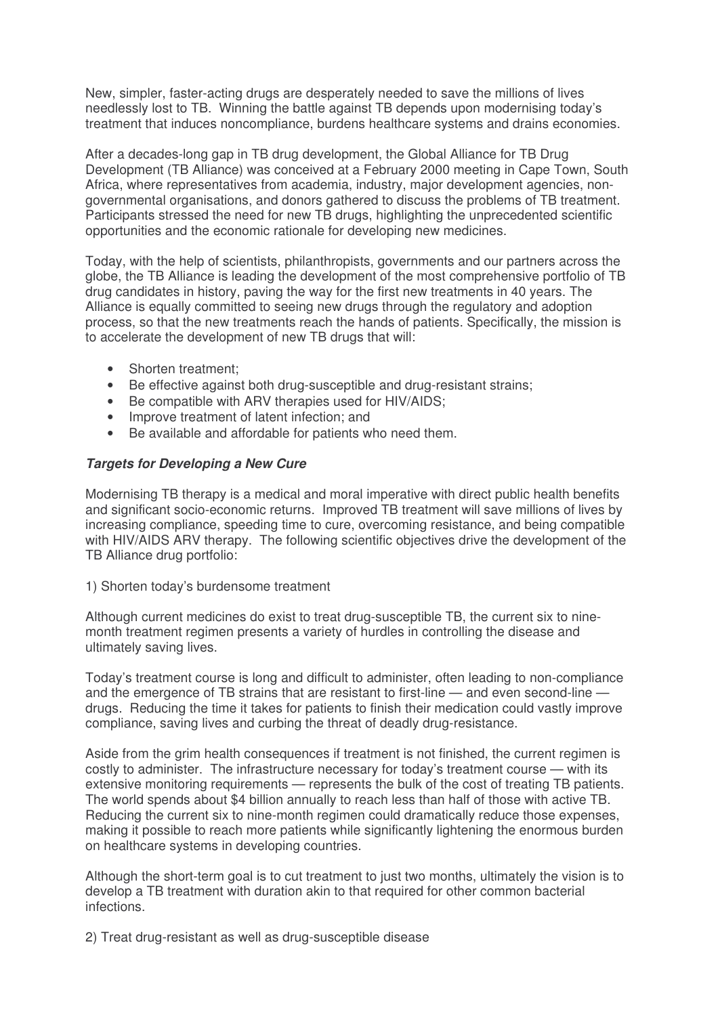New, simpler, faster-acting drugs are desperately needed to save the millions of lives needlessly lost to TB. Winning the battle against TB depends upon modernising today's treatment that induces noncompliance, burdens healthcare systems and drains economies.

After a decades-long gap in TB drug development, the Global Alliance for TB Drug Development (TB Alliance) was conceived at a February 2000 meeting in Cape Town, South Africa, where representatives from academia, industry, major development agencies, nongovernmental organisations, and donors gathered to discuss the problems of TB treatment. Participants stressed the need for new TB drugs, highlighting the unprecedented scientific opportunities and the economic rationale for developing new medicines.

Today, with the help of scientists, philanthropists, governments and our partners across the globe, the TB Alliance is leading the development of the most comprehensive portfolio of TB drug candidates in history, paving the way for the first new treatments in 40 years. The Alliance is equally committed to seeing new drugs through the regulatory and adoption process, so that the new treatments reach the hands of patients. Specifically, the mission is to accelerate the development of new TB drugs that will:

- Shorten treatment:
- Be effective against both drug-susceptible and drug-resistant strains;
- Be compatible with ARV therapies used for HIV/AIDS;
- Improve treatment of latent infection; and
- Be available and affordable for patients who need them.

# *Targets for Developing a New Cure*

Modernising TB therapy is a medical and moral imperative with direct public health benefits and significant socio-economic returns. Improved TB treatment will save millions of lives by increasing compliance, speeding time to cure, overcoming resistance, and being compatible with HIV/AIDS ARV therapy. The following scientific objectives drive the development of the TB Alliance drug portfolio:

1) Shorten today's burdensome treatment

Although current medicines do exist to treat drug-susceptible TB, the current six to ninemonth treatment regimen presents a variety of hurdles in controlling the disease and ultimately saving lives.

Today's treatment course is long and difficult to administer, often leading to non-compliance and the emergence of TB strains that are resistant to first-line — and even second-line drugs. Reducing the time it takes for patients to finish their medication could vastly improve compliance, saving lives and curbing the threat of deadly drug-resistance.

Aside from the grim health consequences if treatment is not finished, the current regimen is costly to administer. The infrastructure necessary for today's treatment course — with its extensive monitoring requirements — represents the bulk of the cost of treating TB patients. The world spends about \$4 billion annually to reach less than half of those with active TB. Reducing the current six to nine-month regimen could dramatically reduce those expenses, making it possible to reach more patients while significantly lightening the enormous burden on healthcare systems in developing countries.

Although the short-term goal is to cut treatment to just two months, ultimately the vision is to develop a TB treatment with duration akin to that required for other common bacterial infections.

2) Treat drug-resistant as well as drug-susceptible disease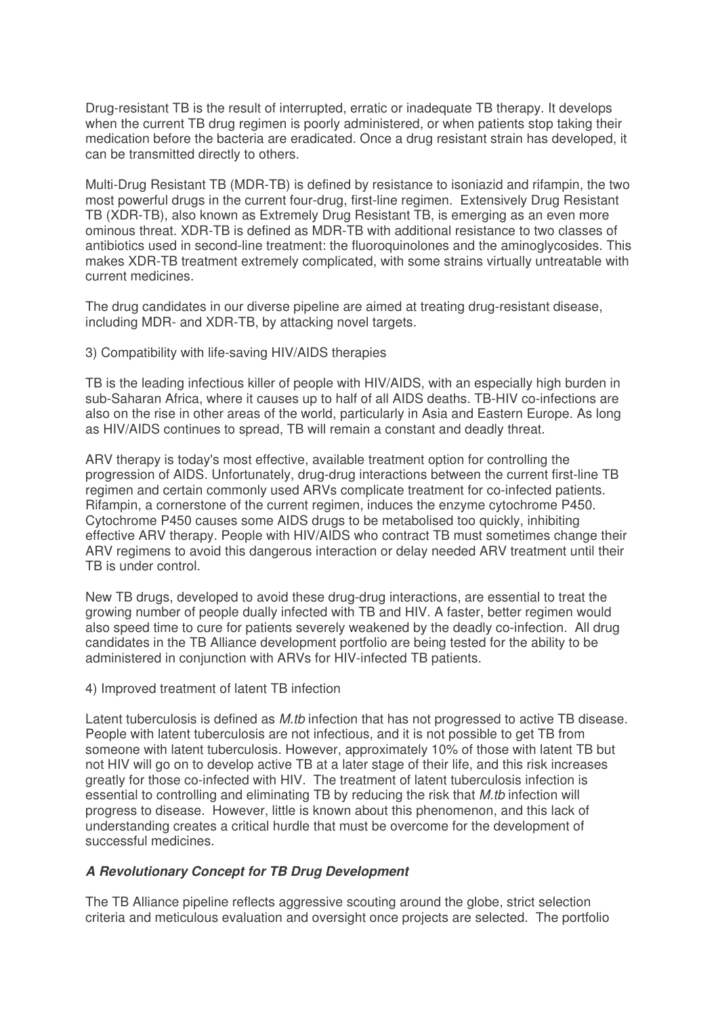Drug-resistant TB is the result of interrupted, erratic or inadequate TB therapy. It develops when the current TB drug regimen is poorly administered, or when patients stop taking their medication before the bacteria are eradicated. Once a drug resistant strain has developed, it can be transmitted directly to others.

Multi-Drug Resistant TB (MDR-TB) is defined by resistance to isoniazid and rifampin, the two most powerful drugs in the current four-drug, first-line regimen. Extensively Drug Resistant TB (XDR-TB), also known as Extremely Drug Resistant TB, is emerging as an even more ominous threat. XDR-TB is defined as MDR-TB with additional resistance to two classes of antibiotics used in second-line treatment: the fluoroquinolones and the aminoglycosides. This makes XDR-TB treatment extremely complicated, with some strains virtually untreatable with current medicines.

The drug candidates in our diverse pipeline are aimed at treating drug-resistant disease, including MDR- and XDR-TB, by attacking novel targets.

3) Compatibility with life-saving HIV/AIDS therapies

TB is the leading infectious killer of people with HIV/AIDS, with an especially high burden in sub-Saharan Africa, where it causes up to half of all AIDS deaths. TB-HIV co-infections are also on the rise in other areas of the world, particularly in Asia and Eastern Europe. As long as HIV/AIDS continues to spread, TB will remain a constant and deadly threat.

ARV therapy is today's most effective, available treatment option for controlling the progression of AIDS. Unfortunately, drug-drug interactions between the current first-line TB regimen and certain commonly used ARVs complicate treatment for co-infected patients. Rifampin, a cornerstone of the current regimen, induces the enzyme cytochrome P450. Cytochrome P450 causes some AIDS drugs to be metabolised too quickly, inhibiting effective ARV therapy. People with HIV/AIDS who contract TB must sometimes change their ARV regimens to avoid this dangerous interaction or delay needed ARV treatment until their TB is under control.

New TB drugs, developed to avoid these drug-drug interactions, are essential to treat the growing number of people dually infected with TB and HIV. A faster, better regimen would also speed time to cure for patients severely weakened by the deadly co-infection. All drug candidates in the TB Alliance development portfolio are being tested for the ability to be administered in conjunction with ARVs for HIV-infected TB patients.

#### 4) Improved treatment of latent TB infection

Latent tuberculosis is defined as *M.tb* infection that has not progressed to active TB disease. People with latent tuberculosis are not infectious, and it is not possible to get TB from someone with latent tuberculosis. However, approximately 10% of those with latent TB but not HIV will go on to develop active TB at a later stage of their life, and this risk increases greatly for those co-infected with HIV. The treatment of latent tuberculosis infection is essential to controlling and eliminating TB by reducing the risk that *M.tb* infection will progress to disease. However, little is known about this phenomenon, and this lack of understanding creates a critical hurdle that must be overcome for the development of successful medicines.

#### *A Revolutionary Concept for TB Drug Development*

The TB Alliance pipeline reflects aggressive scouting around the globe, strict selection criteria and meticulous evaluation and oversight once projects are selected. The portfolio